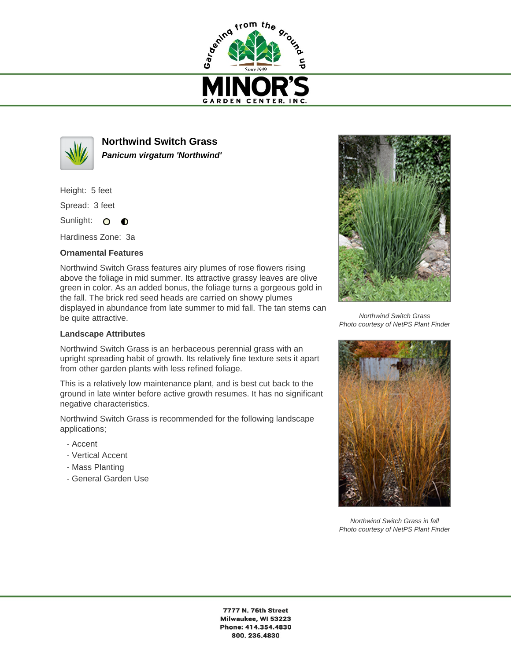



**Northwind Switch Grass Panicum virgatum 'Northwind'**

Height: 5 feet

Spread: 3 feet

Sunlight: O  $\bullet$ 

Hardiness Zone: 3a

## **Ornamental Features**

Northwind Switch Grass features airy plumes of rose flowers rising above the foliage in mid summer. Its attractive grassy leaves are olive green in color. As an added bonus, the foliage turns a gorgeous gold in the fall. The brick red seed heads are carried on showy plumes displayed in abundance from late summer to mid fall. The tan stems can be quite attractive.

## **Landscape Attributes**

Northwind Switch Grass is an herbaceous perennial grass with an upright spreading habit of growth. Its relatively fine texture sets it apart from other garden plants with less refined foliage.

This is a relatively low maintenance plant, and is best cut back to the ground in late winter before active growth resumes. It has no significant negative characteristics.

Northwind Switch Grass is recommended for the following landscape applications;

- Accent
- Vertical Accent
- Mass Planting
- General Garden Use



Northwind Switch Grass Photo courtesy of NetPS Plant Finder



Northwind Switch Grass in fall Photo courtesy of NetPS Plant Finder

7777 N. 76th Street Milwaukee, WI 53223 Phone: 414.354.4830 800.236.4830